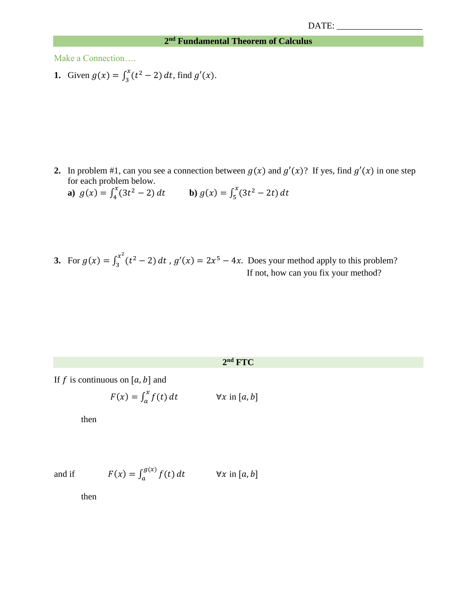## **2 nd Fundamental Theorem of Calculus**

Make a Connection….

**1.** Given  $g(x) = \int_2^x (t^2 - 2)$  $\int_{3}^{x}(t^2-2) dt$ , find  $g'(x)$ .

**2.** In problem #1, can you see a connection between  $g(x)$  and  $g'(x)$ ? If yes, find  $g'(x)$  in one step for each problem below.

**a)** 
$$
g(x) = \int_{4}^{x} (3t^2 - 2) dt
$$
 **b)**  $g(x) = \int_{5}^{x} (3t^2 - 2t) dt$ 

**3.** For  $g(x) = \int_3^{x^2} (t^2 - 2)$  $3^{x^2}(t^2-2) dt$ ,  $g'(x) = 2x^5 - 4x$ . Does your method apply to this problem? If not, how can you fix your method?

## **2 nd FTC**

If f is continuous on [a, b] and

$$
F(x) = \int_a^x f(t) dt \qquad \forall x \text{ in } [a, b]
$$

then

and if 
$$
F(x) = \int_{a}^{g(x)} f(t) dt \qquad \forall x \text{ in } [a, b]
$$

then